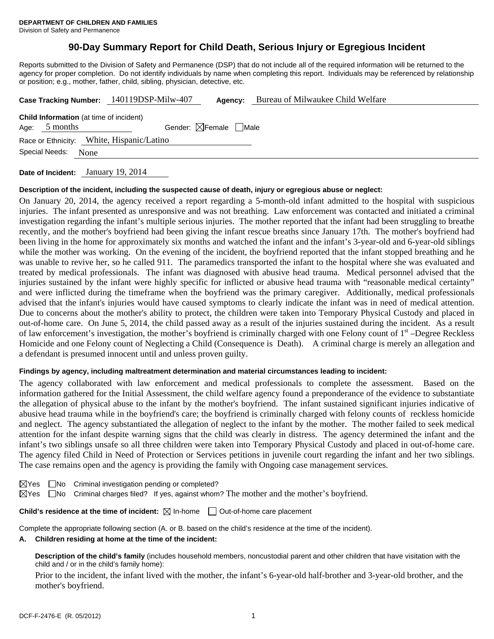# **90-Day Summary Report for Child Death, Serious Injury or Egregious Incident**

Reports submitted to the Division of Safety and Permanence (DSP) that do not include all of the required information will be returned to the agency for proper completion. Do not identify individuals by name when completing this report. Individuals may be referenced by relationship or position; e.g., mother, father, child, sibling, physician, detective, etc.

|                                                                                                              |  | Case Tracking Number: 140119DSP-Milw-407 | Agency: | Bureau of Milwaukee Child Welfare |  |  |  |  |
|--------------------------------------------------------------------------------------------------------------|--|------------------------------------------|---------|-----------------------------------|--|--|--|--|
| <b>Child Information</b> (at time of incident)<br>Gender: $\boxtimes$ Female $\Box$ Male<br>5 months<br>Age: |  |                                          |         |                                   |  |  |  |  |
| Race or Ethnicity: White, Hispanic/Latino                                                                    |  |                                          |         |                                   |  |  |  |  |
| Special Needs:<br>None                                                                                       |  |                                          |         |                                   |  |  |  |  |
|                                                                                                              |  | 10.0011                                  |         |                                   |  |  |  |  |

**Date of Incident:** January 19, 2014

#### **Description of the incident, including the suspected cause of death, injury or egregious abuse or neglect:**

On January 20, 2014, the agency received a report regarding a 5-month-old infant admitted to the hospital with suspicious injuries. The infant presented as unresponsive and was not breathing. Law enforcement was contacted and initiated a criminal investigation regarding the infant's multiple serious injuries. The mother reported that the infant had been struggling to breathe recently, and the mother's boyfriend had been giving the infant rescue breaths since January 17th. The mother's boyfriend had been living in the home for approximately six months and watched the infant and the infant's 3-year-old and 6-year-old siblings while the mother was working. On the evening of the incident, the boyfriend reported that the infant stopped breathing and he was unable to revive her, so he called 911. The paramedics transported the infant to the hospital where she was evaluated and treated by medical professionals. The infant was diagnosed with abusive head trauma. Medical personnel advised that the injuries sustained by the infant were highly specific for inflicted or abusive head trauma with "reasonable medical certainty" and were inflicted during the timeframe when the boyfriend was the primary caregiver. Additionally, medical professionals advised that the infant's injuries would have caused symptoms to clearly indicate the infant was in need of medical attention. Due to concerns about the mother's ability to protect, the children were taken into Temporary Physical Custody and placed in out-of-home care. On June 5, 2014, the child passed away as a result of the injuries sustained during the incident. As a result of law enforcement's investigation, the mother's boyfriend is criminally charged with one Felony count of 1st –Degree Reckless Homicide and one Felony count of Neglecting a Child (Consequence is Death). A criminal charge is merely an allegation and a defendant is presumed innocent until and unless proven guilty.

#### **Findings by agency, including maltreatment determination and material circumstances leading to incident:**

The agency collaborated with law enforcement and medical professionals to complete the assessment. Based on the information gathered for the Initial Assessment, the child welfare agency found a preponderance of the evidence to substantiate the allegation of physical abuse to the infant by the mother's boyfriend. The infant sustained significant injuries indicative of abusive head trauma while in the boyfriend's care; the boyfriend is criminally charged with felony counts of reckless homicide and neglect. The agency substantiated the allegation of neglect to the infant by the mother. The mother failed to seek medical attention for the infant despite warning signs that the child was clearly in distress. The agency determined the infant and the infant's two siblings unsafe so all three children were taken into Temporary Physical Custody and placed in out-of-home care. The agency filed Child in Need of Protection or Services petitions in juvenile court regarding the infant and her two siblings. The case remains open and the agency is providing the family with Ongoing case management services.

 $\boxtimes$ Yes  $\Box$ No Criminal investigation pending or completed?

 $\boxtimes$  Yes  $\Box$  No Criminal charges filed? If yes, against whom? The mother and the mother's boyfriend.

**Child's residence at the time of incident:**  $\boxtimes$  In-home  $\Box$  Out-of-home care placement

Complete the appropriate following section (A. or B. based on the child's residence at the time of the incident).

#### **A. Children residing at home at the time of the incident:**

**Description of the child's family** (includes household members, noncustodial parent and other children that have visitation with the child and / or in the child's family home):

 Prior to the incident, the infant lived with the mother, the infant's 6-year-old half-brother and 3-year-old brother, and the mother's boyfriend.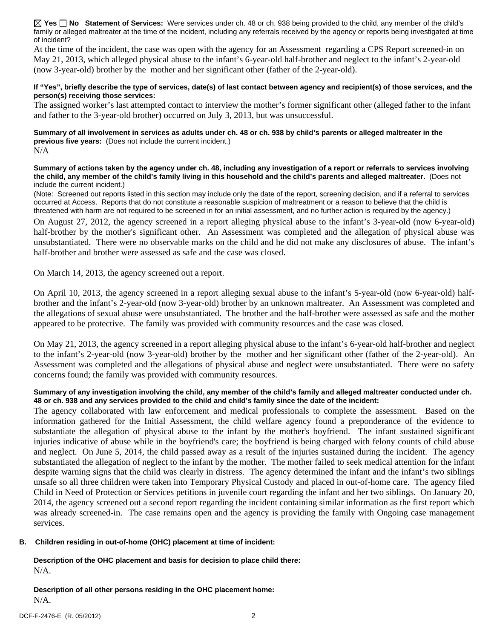**Yes No Statement of Services:** Were services under ch. 48 or ch. 938 being provided to the child, any member of the child's family or alleged maltreater at the time of the incident, including any referrals received by the agency or reports being investigated at time of incident?

At the time of the incident, the case was open with the agency for an Assessment regarding a CPS Report screened-in on May 21, 2013, which alleged physical abuse to the infant's 6-year-old half-brother and neglect to the infant's 2-year-old (now 3-year-old) brother by the mother and her significant other (father of the 2-year-old).

#### **If "Yes", briefly describe the type of services, date(s) of last contact between agency and recipient(s) of those services, and the person(s) receiving those services:**

The assigned worker's last attempted contact to interview the mother's former significant other (alleged father to the infant and father to the 3-year-old brother) occurred on July 3, 2013, but was unsuccessful.

**Summary of all involvement in services as adults under ch. 48 or ch. 938 by child's parents or alleged maltreater in the previous five years:** (Does not include the current incident.) N/A

**Summary of actions taken by the agency under ch. 48, including any investigation of a report or referrals to services involving the child, any member of the child's family living in this household and the child's parents and alleged maltreater.** (Does not include the current incident.)

(Note: Screened out reports listed in this section may include only the date of the report, screening decision, and if a referral to services occurred at Access. Reports that do not constitute a reasonable suspicion of maltreatment or a reason to believe that the child is threatened with harm are not required to be screened in for an initial assessment, and no further action is required by the agency.)

On August 27, 2012, the agency screened in a report alleging physical abuse to the infant's 3-year-old (now 6-year-old) half-brother by the mother's significant other. An Assessment was completed and the allegation of physical abuse was unsubstantiated. There were no observable marks on the child and he did not make any disclosures of abuse. The infant's half-brother and brother were assessed as safe and the case was closed.

On March 14, 2013, the agency screened out a report.

On April 10, 2013, the agency screened in a report alleging sexual abuse to the infant's 5-year-old (now 6-year-old) halfbrother and the infant's 2-year-old (now 3-year-old) brother by an unknown maltreater. An Assessment was completed and the allegations of sexual abuse were unsubstantiated. The brother and the half-brother were assessed as safe and the mother appeared to be protective. The family was provided with community resources and the case was closed.

On May 21, 2013, the agency screened in a report alleging physical abuse to the infant's 6-year-old half-brother and neglect to the infant's 2-year-old (now 3-year-old) brother by the mother and her significant other (father of the 2-year-old). An Assessment was completed and the allegations of physical abuse and neglect were unsubstantiated. There were no safety concerns found; the family was provided with community resources.

### **Summary of any investigation involving the child, any member of the child's family and alleged maltreater conducted under ch. 48 or ch. 938 and any services provided to the child and child's family since the date of the incident:**

The agency collaborated with law enforcement and medical professionals to complete the assessment. Based on the information gathered for the Initial Assessment, the child welfare agency found a preponderance of the evidence to substantiate the allegation of physical abuse to the infant by the mother's boyfriend. The infant sustained significant injuries indicative of abuse while in the boyfriend's care; the boyfriend is being charged with felony counts of child abuse and neglect. On June 5, 2014, the child passed away as a result of the injuries sustained during the incident. The agency substantiated the allegation of neglect to the infant by the mother. The mother failed to seek medical attention for the infant despite warning signs that the child was clearly in distress. The agency determined the infant and the infant's two siblings unsafe so all three children were taken into Temporary Physical Custody and placed in out-of-home care. The agency filed Child in Need of Protection or Services petitions in juvenile court regarding the infant and her two siblings. On January 20, 2014, the agency screened out a second report regarding the incident containing similar information as the first report which was already screened-in. The case remains open and the agency is providing the family with Ongoing case management services.

### **B. Children residing in out-of-home (OHC) placement at time of incident:**

**Description of the OHC placement and basis for decision to place child there:** N/A.

**Description of all other persons residing in the OHC placement home:** N/A.